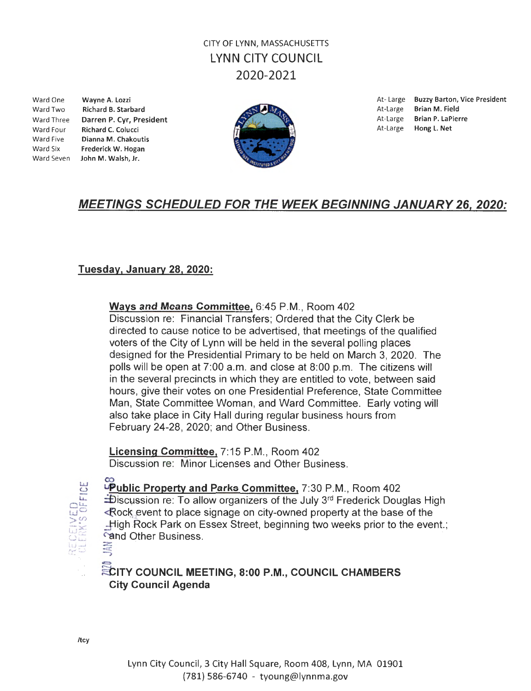# CITY OF LYNN, MASSACHUSETIS LYNN CITY COUNCIL 2020-2021

Ward Two Richard B. Starbard **At-Large Brian M. Field** At-Large Brian M. Field At-Large Brian M. Field At-Large Brian M. Field At-Large Brian P. LaPierre Ward Three **Darren P. Cyr, President At-Large Brian P. LaPit At-Large Brian P. LaPit At-Large Brian P. LaPit At-Large Brian P. LaPit At-Large Brian P. LaPit At-Large At-Large Hong L. Net** Ward Four Richard C. Colucci Ward Five Dianna M. Chakoutis Ward Six Frederick W. Hogan Ward Seven John M. Walsh, Jr.





Ward One **Wayne A. Lozzi At-Large Buzzy Barton, Vice President** 

# MEETINGS SCHEDULED FOR THE WEEK BEGINNING JANUARY 26, 2020:

## Tuesday, January 28, 2020:

## Ways and Means Committee, 6:45 P.M., Room 402

Discussion re: Financial Transfers; Ordered that the City Clerk be directed to cause notice to be advertised, that meetings of the qualified voters of the City of Lynn will be held in the several polling places designed for the Presidential Primary to be held on March 3, 2020. The polls will be open at 7:00 a.m. and close at 8:00 p.m. The citizens will in the several precincts in which they are entitled to vote, between said hours, give their votes on one Presidential Preference, State Committee Man, State Committee Woman, and Ward Committee. Early voting will also take place in City Hall during regular business hours from February 24-28, 2020; and Other Business.

Licensing Committee, 7:15 P.M., Room 402 Discussion re: Minor Licenses and Other Business.



pper life of Property and Parks Committee, 7:30 P.M., Room 402  $\pm$ Discussion re: To allow organizers of the July 3 $rd$  Frederick Douglas High  $\leq$  Rock event to place signage on city-owned property at the base of the . High Rock Park on Essex Street, beginning two weeks prior to the event.; Find Other Business.<br> $\equiv$ 

#### $\iff$ **ECITY COUNCIL MEETING, 8:00 P.M., COUNCIL CHAMBERS** City Council Agenda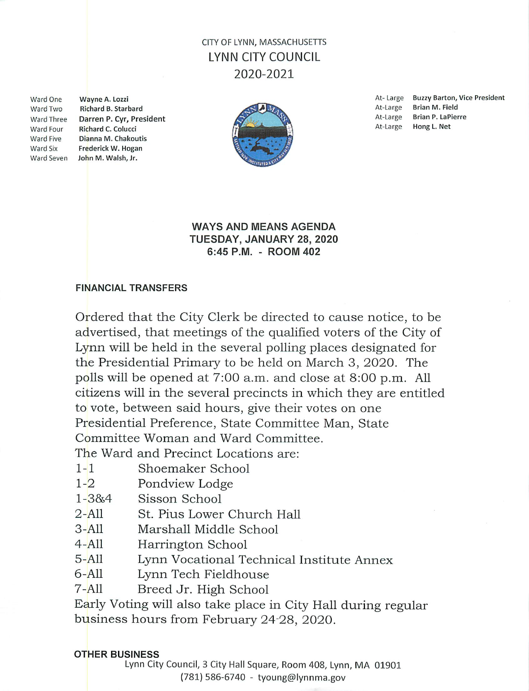## CITY OF LYNN. MASSACHUSETTS **LYNN CITY COUNCIL** 2020-2021

**Ward One Ward Two Ward Three** Ward Four **Ward Five Ward Six** 

Wayne A. Lozzi **Richard B. Starbard** Darren P. Cyr, President Richard C. Colucci Dianna M. Chakoutis Frederick W. Hogan Ward Seven John M. Walsh, Jr.



At-Large Buzzy Barton, Vice President At-Large **Brian M. Field Brian P. LaPierre** At-Large At-Large Hong L. Net

### **WAYS AND MEANS AGENDA** TUESDAY, JANUARY 28, 2020 6:45 P.M. - ROOM 402

### **FINANCIAL TRANSFERS**

Ordered that the City Clerk be directed to cause notice, to be advertised, that meetings of the qualified voters of the City of Lynn will be held in the several polling places designated for the Presidential Primary to be held on March 3, 2020. The polls will be opened at 7:00 a.m. and close at 8:00 p.m. All citizens will in the several precincts in which they are entitled to vote, between said hours, give their votes on one Presidential Preference, State Committee Man, State Committee Woman and Ward Committee.

The Ward and Precinct Locations are:

- $1 1$ Shoemaker School
- $1 2$ Pondview Lodge
- Sisson School  $1 - 38.4$
- $2 A11$ St. Pius Lower Church Hall
- $3 A11$ Marshall Middle School
- $4 A11$ Harrington School
- $5 A11$ Lynn Vocational Technical Institute Annex
- $6-$ All Lynn Tech Fieldhouse
- $7 A11$ Breed Jr. High School

Early Voting will also take place in City Hall during regular business hours from February 24-28, 2020.

#### **OTHER BUSINESS**

Lynn City Council, 3 City Hall Square, Room 408, Lynn, MA 01901 (781) 586-6740 - tyoung@lynnma.gov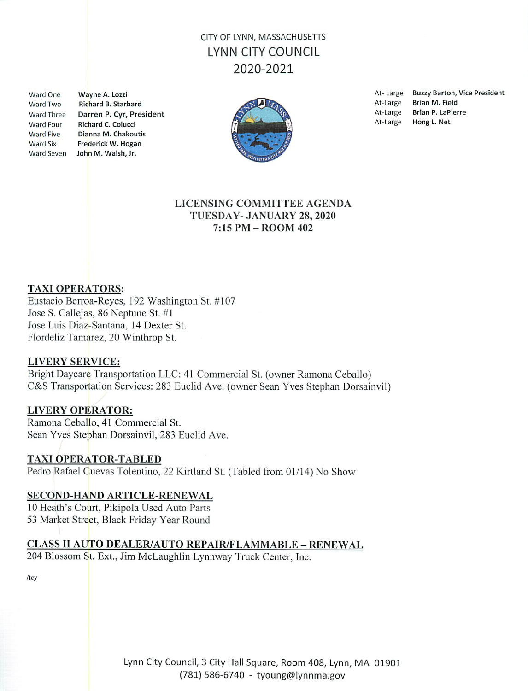## CITY OF LYNN, MASSACHUSETTS LYNN CITY COUNCIL 2020-2021

Ward One Ward Two **Ward Three** Ward Four **Ward Five Ward Six** 

Wayne A. Lozzi **Richard B. Starbard** Darren P. Cyr, President Richard C. Colucci Dianna M. Chakoutis Frederick W. Hogan Ward Seven John M. Walsh, Jr.



At-Large Buzzy Barton, Vice President At-Large Brian M. Field At-Large Brian P. LaPierre At-Large Hong L. Net

### LICENSING COMMITTEE AGENDA TUESDAY- JANUARY 28, 2020  $7:15$  PM  $-$  ROOM 402

### **TAXI OPERATORS:**

Eustacio Berroa-Reyes, 192 Washington St. #107 Jose S. Callejas, 86 Neptune St. #1 Jose Luis Diaz-Santana, 14 Dexter St. Flordeliz Tamarez, 20 Winthrop St.

#### **LIVERY SERVICE:**

Bright Daycare Transportation LLC: 41 Commercial St. (owner Ramona Ceballo) C&S Transportation Services: 283 Euclid Ave. (owner Sean Yves Stephan Dorsainvil)

### **LIVERY OPERATOR:**

Ramona Ceballo, 41 Commercial St. Sean Yves Stephan Dorsainvil, 283 Euclid Ave.

#### **TAXI OPERATOR-TABLED**

Pedro Rafael Cuevas Tolentino, 22 Kirtland St. (Tabled from 01/14) No Show

#### SECOND-HAND ARTICLE-RENEWAL

10 Heath's Court, Pikipola Used Auto Parts 53 Market Street, Black Friday Year Round

### **CLASS II AUTO DEALER/AUTO REPAIR/FLAMMABLE - RENEWAL**

204 Blossom St. Ext., Jim McLaughlin Lynnway Truck Center, Inc.

/tcy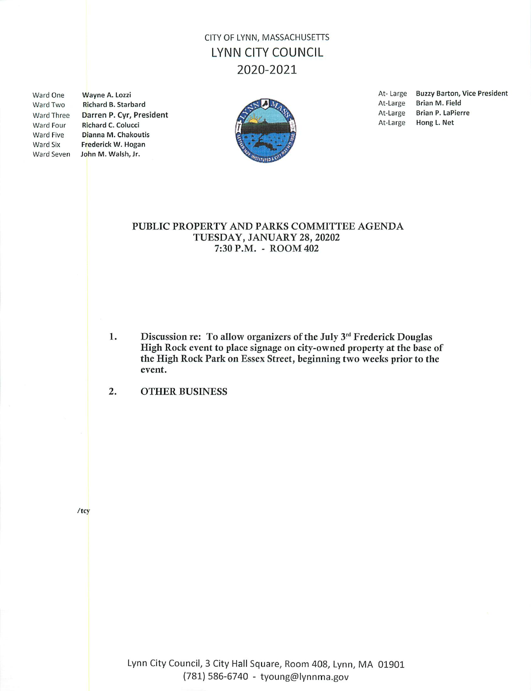# CITY OF LYNN, MASSACHUSETTS **LYNN CITY COUNCIL** 2020-2021

Ward One Ward Two Ward Three Ward Four Ward Five Ward Six

Wayne A. Lozzi Richard B. Starbard Darren P. Cvr. President Richard C. Colucci Dianna M. Chakoutis Frederick W. Hogan Ward Seven John M. Walsh, Jr.



At-Large Buzzy Barton, Vice President Brian M. Field At-Large At-Large Brian P. LaPierre At-Large Hong L. Net

#### PUBLIC PROPERTY AND PARKS COMMITTEE AGENDA TUESDAY, JANUARY 28, 20202 7:30 P.M. - ROOM 402

 $1.$ Discussion re: To allow organizers of the July 3rd Frederick Douglas High Rock event to place signage on city-owned property at the base of the High Rock Park on Essex Street, beginning two weeks prior to the event.

 $2.$ **OTHER BUSINESS** 

 $/tcy$ 

Lynn City Council, 3 City Hall Square, Room 408, Lynn, MA 01901 (781) 586-6740 - tyoung@lynnma.gov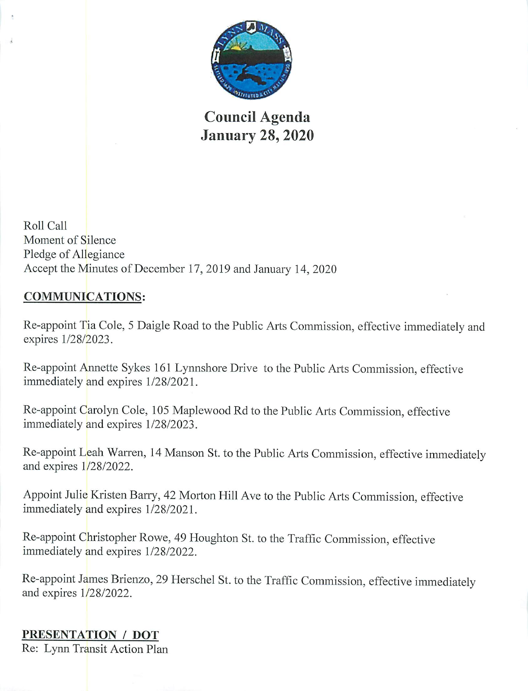

**Council Agenda January 28, 2020** 

Roll Call Moment of Silence Pledge of Allegiance Accept the Minutes of December 17, 2019 and January 14, 2020

# **COMMUNICATIONS:**

Re-appoint Tia Cole, 5 Daigle Road to the Public Arts Commission, effective immediately and expires 1/28/2023.

Re-appoint Annette Sykes 161 Lynnshore Drive to the Public Arts Commission, effective immediately and expires 1/28/2021.

Re-appoint Carolyn Cole, 105 Maplewood Rd to the Public Arts Commission, effective immediately and expires 1/28/2023.

Re-appoint Leah Warren, 14 Manson St. to the Public Arts Commission, effective immediately and expires 1/28/2022.

Appoint Julie Kristen Barry, 42 Morton Hill Ave to the Public Arts Commission, effective immediately and expires 1/28/2021.

Re-appoint Christopher Rowe, 49 Houghton St. to the Traffic Commission, effective immediately and expires 1/28/2022.

Re-appoint James Brienzo, 29 Herschel St. to the Traffic Commission, effective immediately and expires  $1/28/2022$ .

# PRESENTATION / DOT

Re: Lynn Transit Action Plan